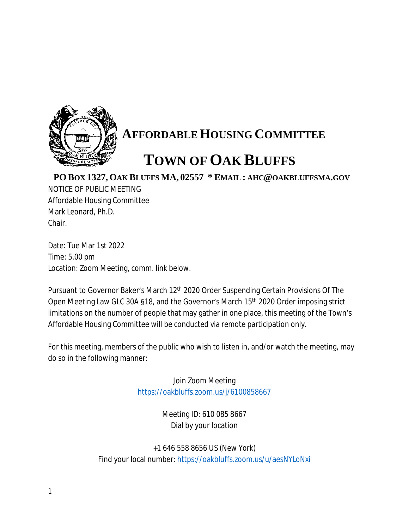

## **AFFORDABLE HOUSING COMMITTEE**

## **TOWN OF OAK BLUFFS**

## **PO BOX 1327, OAK BLUFFS MA, 02557 \* EMAIL : AHC@OAKBLUFFSMA.GOV**

NOTICE OF PUBLIC MEETING Affordable Housing Committee Mark Leonard, Ph.D. Chair.

Date: Tue Mar 1st 2022 Time: 5.00 pm Location: Zoom Meeting, comm. link below.

Pursuant to Governor Baker's March 12<sup>th</sup> 2020 Order Suspending Certain Provisions Of The Open Meeting Law GLC 30A §18, and the Governor's March 15th 2020 Order imposing strict limitations on the number of people that may gather in one place, this meeting of the Town's Affordable Housing Committee will be conducted via remote participation only.

For this meeting, members of the public who wish to listen in, and/or watch the meeting, may do so in the following manner:

> Join Zoom Meeting <https://oakbluffs.zoom.us/j/6100858667>

> > Meeting ID: 610 085 8667 Dial by your location

+1 646 558 8656 US (New York) Find your local number: <https://oakbluffs.zoom.us/u/aesNYLoNxi>